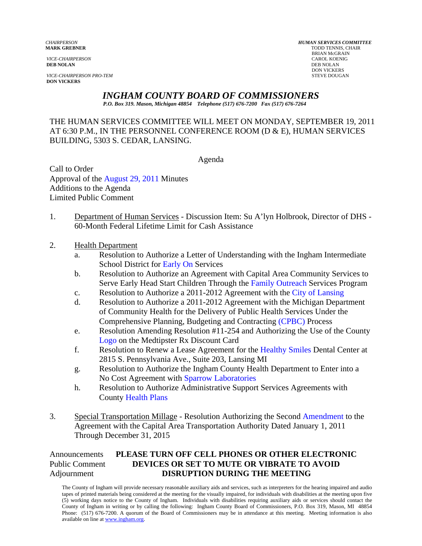**DEB NOLAN** DEB NOLAN

*VICE-CHAIRPERSON PRO-TEM* STEVE DOUGAN **DON VICKERS** 

*CHAIRPERSON HUMAN SERVICES COMMITTEE* **TODD TENNIS, CHAIR** BRIAN McGRAIN *VICE-CHAIRPERSON* CAROL KOENIG **DON VICKERS** 

## *INGHAM COUNTY BOARD OF COMMISSIONERS*

*P.O. Box 319. Mason, Michigan 48854 Telephone (517) 676-7200 Fax (517) 676-7264*

THE HUMAN SERVICES COMMITTEE WILL MEET ON MONDAY, SEPTEMBER 19, 2011 AT 6:30 P.M., IN THE PERSONNEL CONFERENCE ROOM (D & E), HUMAN SERVICES BUILDING, 5303 S. CEDAR, LANSING.

Agenda

Call to Order Approval of t[he August 29, 2011 Minutes](#page-1-0)  Additions to the Agenda Limited Public Comment

- 1. Department of Human Services Discussion Item: Su A'lyn Holbrook, Director of DHS 60-Month Federal Lifetime Limit for Cash Assistance
- 2. Health Department
	- a. Resolution to [Authorize a Letter of U](#page-7-0)nderstanding with the Ingham Intermediate School District for Early On Services
	- b. Resolution to Authorize an Agreement wit[h Capital Area Commu](#page-9-0)nity Services to Serve Early Head Start Children Through the Family Outreach Services Program
	- c. Resolution to Authorize a 2011-2012 Agreement with the City of Lansing
	- d. Resolution to Authorize a 2011-2012 Agreement with t[he Michigan Department](#page-11-0)  of Community Health for the Delivery of Public Health Services Under the Comprehensive Planning, Budgeting and Contracting (CPBC) Process
	- e. [Resolution Amendin](#page-17-0)g Resolution #11-254 and Au[thorizing the Use of the](#page-13-0) County Logo on the Medtipster Rx Discount Card
	- f. Resolution to Renew a Lease Agreement for t[he Healthy Smiles Dental Center](#page-19-0) at 2815 S. Pennsylvania Ave., Suite 203, Lansing MI
	- g. Resolution to Authorize the Ingham County Health Department to Enter into a No Cost Agreement with Sparrow Laboratories
	- h. Resolution to Authori[ze Administrative Support Ser](#page-21-0)vices Agreements with Cou[nty Health Plans](#page-24-0)
- 3. Special Transportation Millage Resolution Authorizing the Secon[d Amendment to the](#page-27-0)  Agreement with the Capital Area Transportation Authority Dated January 1, 2011 Through December 31, 2015

## Announcements **PLEASE TURN OFF CELL PHONES OR OTHER ELECTRONIC** Public Comment **DEVICES OR SET TO MUTE OR VIBRATE TO AVOID** Adjournment **DISRUPTION DURING THE MEETING**

The County of Ingham will provide necessary reasonable auxiliary aids and services, such as interpreters for the hearing impaired and audio tapes of printed materials being considered at the meeting for the visually impaired, for individuals with disabilities at the meeting upon five (5) working days notice to the County of Ingham. Individuals with disabilities requiring auxiliary aids or services should contact the County of Ingham in writing or by calling the following: Ingham County Board of Commissioners, P.O. Box 319, Mason, MI 48854 Phone: (517) 676-7200. A quorum of the Board of Commissioners may be in attendance at this meeting. Meeting information is also available on line at www.ingham.org.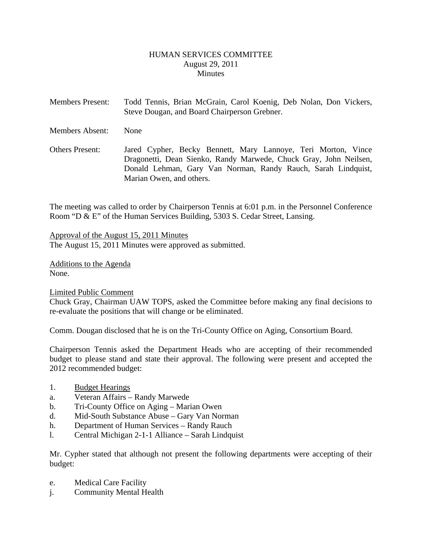#### HUMAN SERVICES COMMITTEE August 29, 2011 **Minutes**

<span id="page-1-0"></span>Members Present: Todd Tennis, Brian McGrain, Carol Koenig, Deb Nolan, Don Vickers, Steve Dougan, and Board Chairperson Grebner. Members Absent: None Others Present: Jared Cypher, Becky Bennett, Mary Lannoye, Teri Morton, Vince Dragonetti, Dean Sienko, Randy Marwede, Chuck Gray, John Neilsen, Donald Lehman, Gary Van Norman, Randy Rauch, Sarah Lindquist,

The meeting was called to order by Chairperson Tennis at 6:01 p.m. in the Personnel Conference Room "D & E" of the Human Services Building, 5303 S. Cedar Street, Lansing.

Approval of the August 15, 2011 Minutes The August 15, 2011 Minutes were approved as submitted.

Marian Owen, and others.

Additions to the Agenda None.

Limited Public Comment

Chuck Gray, Chairman UAW TOPS, asked the Committee before making any final decisions to re-evaluate the positions that will change or be eliminated.

Comm. Dougan disclosed that he is on the Tri-County Office on Aging, Consortium Board.

Chairperson Tennis asked the Department Heads who are accepting of their recommended budget to please stand and state their approval. The following were present and accepted the 2012 recommended budget:

- 1. Budget Hearings
- a. Veteran Affairs Randy Marwede
- b. Tri-County Office on Aging Marian Owen
- d. Mid-South Substance Abuse Gary Van Norman
- h. Department of Human Services Randy Rauch
- l. Central Michigan 2-1-1 Alliance Sarah Lindquist

Mr. Cypher stated that although not present the following departments were accepting of their budget:

- e. Medical Care Facility
- j. Community Mental Health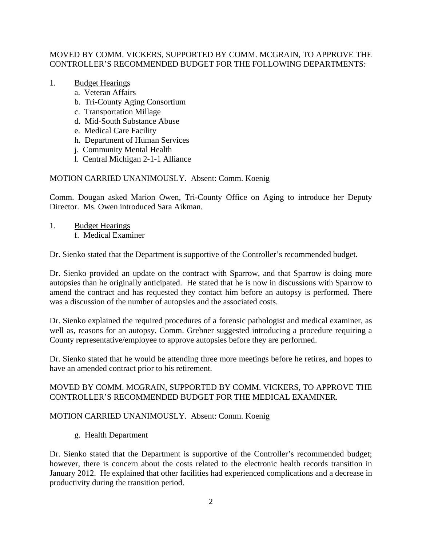#### MOVED BY COMM. VICKERS, SUPPORTED BY COMM. MCGRAIN, TO APPROVE THE CONTROLLER'S RECOMMENDED BUDGET FOR THE FOLLOWING DEPARTMENTS:

## 1. Budget Hearings

- a. Veteran Affairs
- b. Tri-County Aging Consortium
- c. Transportation Millage
- d. Mid-South Substance Abuse
- e. Medical Care Facility
- h. Department of Human Services
- j. Community Mental Health
- l. Central Michigan 2-1-1 Alliance

## MOTION CARRIED UNANIMOUSLY. Absent: Comm. Koenig

Comm. Dougan asked Marion Owen, Tri-County Office on Aging to introduce her Deputy Director. Ms. Owen introduced Sara Aikman.

1. Budget Hearings f. Medical Examiner

Dr. Sienko stated that the Department is supportive of the Controller's recommended budget.

Dr. Sienko provided an update on the contract with Sparrow, and that Sparrow is doing more autopsies than he originally anticipated. He stated that he is now in discussions with Sparrow to amend the contract and has requested they contact him before an autopsy is performed. There was a discussion of the number of autopsies and the associated costs.

Dr. Sienko explained the required procedures of a forensic pathologist and medical examiner, as well as, reasons for an autopsy. Comm. Grebner suggested introducing a procedure requiring a County representative/employee to approve autopsies before they are performed.

Dr. Sienko stated that he would be attending three more meetings before he retires, and hopes to have an amended contract prior to his retirement.

#### MOVED BY COMM. MCGRAIN, SUPPORTED BY COMM. VICKERS, TO APPROVE THE CONTROLLER'S RECOMMENDED BUDGET FOR THE MEDICAL EXAMINER.

#### MOTION CARRIED UNANIMOUSLY. Absent: Comm. Koenig

g. Health Department

Dr. Sienko stated that the Department is supportive of the Controller's recommended budget; however, there is concern about the costs related to the electronic health records transition in January 2012. He explained that other facilities had experienced complications and a decrease in productivity during the transition period.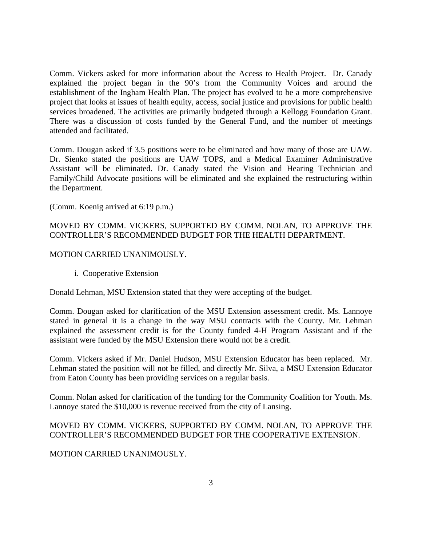Comm. Vickers asked for more information about the Access to Health Project. Dr. Canady explained the project began in the 90's from the Community Voices and around the establishment of the Ingham Health Plan. The project has evolved to be a more comprehensive project that looks at issues of health equity, access, social justice and provisions for public health services broadened. The activities are primarily budgeted through a Kellogg Foundation Grant. There was a discussion of costs funded by the General Fund, and the number of meetings attended and facilitated.

Comm. Dougan asked if 3.5 positions were to be eliminated and how many of those are UAW. Dr. Sienko stated the positions are UAW TOPS, and a Medical Examiner Administrative Assistant will be eliminated. Dr. Canady stated the Vision and Hearing Technician and Family/Child Advocate positions will be eliminated and she explained the restructuring within the Department.

(Comm. Koenig arrived at 6:19 p.m.)

#### MOVED BY COMM. VICKERS, SUPPORTED BY COMM. NOLAN, TO APPROVE THE CONTROLLER'S RECOMMENDED BUDGET FOR THE HEALTH DEPARTMENT.

#### MOTION CARRIED UNANIMOUSLY.

i. Cooperative Extension

Donald Lehman, MSU Extension stated that they were accepting of the budget.

Comm. Dougan asked for clarification of the MSU Extension assessment credit. Ms. Lannoye stated in general it is a change in the way MSU contracts with the County. Mr. Lehman explained the assessment credit is for the County funded 4-H Program Assistant and if the assistant were funded by the MSU Extension there would not be a credit.

Comm. Vickers asked if Mr. Daniel Hudson, MSU Extension Educator has been replaced. Mr. Lehman stated the position will not be filled, and directly Mr. Silva, a MSU Extension Educator from Eaton County has been providing services on a regular basis.

Comm. Nolan asked for clarification of the funding for the Community Coalition for Youth. Ms. Lannoye stated the \$10,000 is revenue received from the city of Lansing.

#### MOVED BY COMM. VICKERS, SUPPORTED BY COMM. NOLAN, TO APPROVE THE CONTROLLER'S RECOMMENDED BUDGET FOR THE COOPERATIVE EXTENSION.

#### MOTION CARRIED UNANIMOUSLY.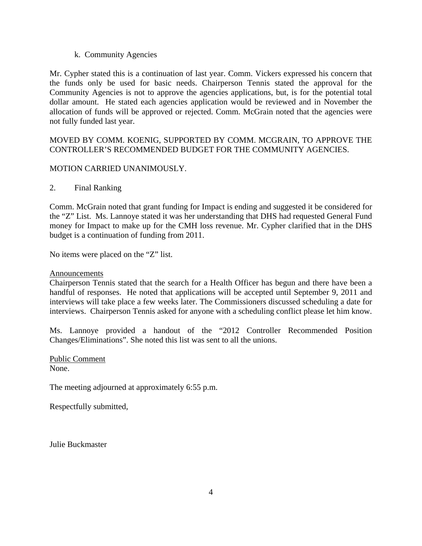#### k. Community Agencies

Mr. Cypher stated this is a continuation of last year. Comm. Vickers expressed his concern that the funds only be used for basic needs. Chairperson Tennis stated the approval for the Community Agencies is not to approve the agencies applications, but, is for the potential total dollar amount. He stated each agencies application would be reviewed and in November the allocation of funds will be approved or rejected. Comm. McGrain noted that the agencies were not fully funded last year.

## MOVED BY COMM. KOENIG, SUPPORTED BY COMM. MCGRAIN, TO APPROVE THE CONTROLLER'S RECOMMENDED BUDGET FOR THE COMMUNITY AGENCIES.

#### MOTION CARRIED UNANIMOUSLY.

#### 2. Final Ranking

Comm. McGrain noted that grant funding for Impact is ending and suggested it be considered for the "Z" List. Ms. Lannoye stated it was her understanding that DHS had requested General Fund money for Impact to make up for the CMH loss revenue. Mr. Cypher clarified that in the DHS budget is a continuation of funding from 2011.

No items were placed on the "Z" list.

#### Announcements

Chairperson Tennis stated that the search for a Health Officer has begun and there have been a handful of responses. He noted that applications will be accepted until September 9, 2011 and interviews will take place a few weeks later. The Commissioners discussed scheduling a date for interviews. Chairperson Tennis asked for anyone with a scheduling conflict please let him know.

Ms. Lannoye provided a handout of the "2012 Controller Recommended Position Changes/Eliminations". She noted this list was sent to all the unions.

Public Comment None.

The meeting adjourned at approximately 6:55 p.m.

Respectfully submitted,

Julie Buckmaster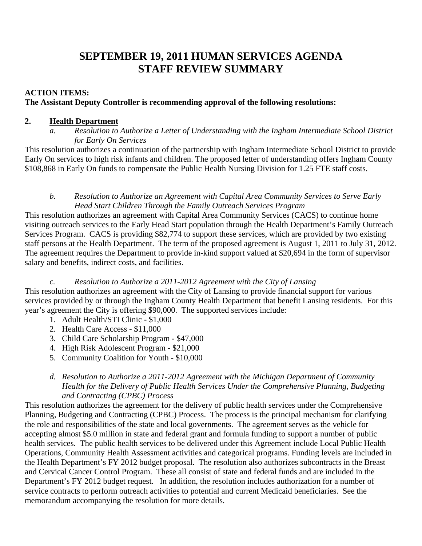# **SEPTEMBER 19, 2011 HUMAN SERVICES AGENDA STAFF REVIEW SUMMARY**

## **ACTION ITEMS:**

## **The Assistant Deputy Controller is recommending approval of the following resolutions:**

## **2. Health Department**

*a. Resolution to Authorize a Letter of Understanding with the Ingham Intermediate School District for Early On Services* 

This resolution authorizes a continuation of the partnership with Ingham Intermediate School District to provide Early On services to high risk infants and children. The proposed letter of understanding offers Ingham County \$108,868 in Early On funds to compensate the Public Health Nursing Division for 1.25 FTE staff costs.

#### *b. Resolution to Authorize an Agreement with Capital Area Community Services to Serve Early Head Start Children Through the Family Outreach Services Program*

This resolution authorizes an agreement with Capital Area Community Services (CACS) to continue home visiting outreach services to the Early Head Start population through the Health Department's Family Outreach Services Program. CACS is providing \$82,774 to support these services, which are provided by two existing staff persons at the Health Department. The term of the proposed agreement is August 1, 2011 to July 31, 2012. The agreement requires the Department to provide in-kind support valued at \$20,694 in the form of supervisor salary and benefits, indirect costs, and facilities.

## *c. Resolution to Authorize a 2011-2012 Agreement with the City of Lansing*

This resolution authorizes an agreement with the City of Lansing to provide financial support for various services provided by or through the Ingham County Health Department that benefit Lansing residents. For this year's agreement the City is offering \$90,000. The supported services include:

- 1. Adult Health/STI Clinic \$1,000
- 2. Health Care Access \$11,000
- 3. Child Care Scholarship Program \$47,000
- 4. High Risk Adolescent Program \$21,000
- 5. Community Coalition for Youth \$10,000
- *d. Resolution to Authorize a 2011-2012 Agreement with the Michigan Department of Community Health for the Delivery of Public Health Services Under the Comprehensive Planning, Budgeting and Contracting (CPBC) Process*

This resolution authorizes the agreement for the delivery of public health services under the Comprehensive Planning, Budgeting and Contracting (CPBC) Process. The process is the principal mechanism for clarifying the role and responsibilities of the state and local governments. The agreement serves as the vehicle for accepting almost \$5.0 million in state and federal grant and formula funding to support a number of public health services. The public health services to be delivered under this Agreement include Local Public Health Operations, Community Health Assessment activities and categorical programs. Funding levels are included in the Health Department's FY 2012 budget proposal. The resolution also authorizes subcontracts in the Breast and Cervical Cancer Control Program. These all consist of state and federal funds and are included in the Department's FY 2012 budget request. In addition, the resolution includes authorization for a number of service contracts to perform outreach activities to potential and current Medicaid beneficiaries. See the memorandum accompanying the resolution for more details.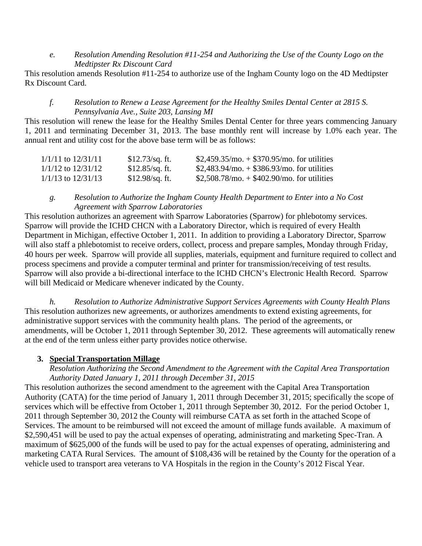#### *e. Resolution Amending Resolution #11-254 and Authorizing the Use of the County Logo on the Medtipster Rx Discount Card*

This resolution amends Resolution #11-254 to authorize use of the Ingham County logo on the 4D Medtipster Rx Discount Card.

## *f. Resolution to Renew a Lease Agreement for the Healthy Smiles Dental Center at 2815 S. Pennsylvania Ave., Suite 203, Lansing MI*

This resolution will renew the lease for the Healthy Smiles Dental Center for three years commencing January 1, 2011 and terminating December 31, 2013. The base monthly rent will increase by 1.0% each year. The annual rent and utility cost for the above base term will be as follows:

| 1/1/11 to 12/31/11     | $$12.73$ /sq. ft. | $$2,459.35/mol + $370.95/mol$ for utilities     |
|------------------------|-------------------|-------------------------------------------------|
| $1/1/12$ to $12/31/12$ | $$12.85$ /sq. ft. | $$2,483.94/mol + $386.93/mol$ for utilities     |
| $1/1/13$ to $12/31/13$ | $$12.98$ /sq. ft. | $$2,508.78$ /mo. $+ $402.90$ /mo. for utilities |

## *g. Resolution to Authorize the Ingham County Health Department to Enter into a No Cost Agreement with Sparrow Laboratories*

This resolution authorizes an agreement with Sparrow Laboratories (Sparrow) for phlebotomy services. Sparrow will provide the ICHD CHCN with a Laboratory Director, which is required of every Health Department in Michigan, effective October 1, 2011. In addition to providing a Laboratory Director, Sparrow will also staff a phlebotomist to receive orders, collect, process and prepare samples, Monday through Friday, 40 hours per week. Sparrow will provide all supplies, materials, equipment and furniture required to collect and process specimens and provide a computer terminal and printer for transmission/receiving of test results. Sparrow will also provide a bi-directional interface to the ICHD CHCN's Electronic Health Record. Sparrow will bill Medicaid or Medicare whenever indicated by the County.

*h. Resolution to Authorize Administrative Support Services Agreements with County Health Plans*  This resolution authorizes new agreements, or authorizes amendments to extend existing agreements, for administrative support services with the community health plans. The period of the agreements, or amendments, will be October 1, 2011 through September 30, 2012. These agreements will automatically renew at the end of the term unless either party provides notice otherwise.

## **3. Special Transportation Millage**

## *Resolution Authorizing the Second Amendment to the Agreement with the Capital Area Transportation Authority Dated January 1, 2011 through December 31, 2015*

This resolution authorizes the second amendment to the agreement with the Capital Area Transportation Authority (CATA) for the time period of January 1, 2011 through December 31, 2015; specifically the scope of services which will be effective from October 1, 2011 through September 30, 2012. For the period October 1, 2011 through September 30, 2012 the County will reimburse CATA as set forth in the attached Scope of Services. The amount to be reimbursed will not exceed the amount of millage funds available. A maximum of \$2,590,451 will be used to pay the actual expenses of operating, administrating and marketing Spec-Tran. A maximum of \$625,000 of the funds will be used to pay for the actual expenses of operating, administering and marketing CATA Rural Services. The amount of \$108,436 will be retained by the County for the operation of a vehicle used to transport area veterans to VA Hospitals in the region in the County's 2012 Fiscal Year.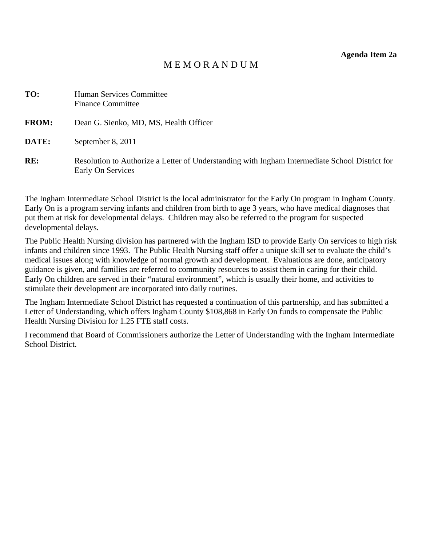**Agenda Item 2a** 

## M E M O R A N D U M

<span id="page-7-0"></span>

| TO:          | <b>Human Services Committee</b><br><b>Finance Committee</b>                                                         |
|--------------|---------------------------------------------------------------------------------------------------------------------|
| <b>FROM:</b> | Dean G. Sienko, MD, MS, Health Officer                                                                              |
| DATE:        | September 8, 2011                                                                                                   |
| RE:          | Resolution to Authorize a Letter of Understanding with Ingham Intermediate School District for<br>Early On Services |

The Ingham Intermediate School District is the local administrator for the Early On program in Ingham County. Early On is a program serving infants and children from birth to age 3 years, who have medical diagnoses that put them at risk for developmental delays. Children may also be referred to the program for suspected developmental delays.

The Public Health Nursing division has partnered with the Ingham ISD to provide Early On services to high risk infants and children since 1993. The Public Health Nursing staff offer a unique skill set to evaluate the child's medical issues along with knowledge of normal growth and development. Evaluations are done, anticipatory guidance is given, and families are referred to community resources to assist them in caring for their child. Early On children are served in their "natural environment", which is usually their home, and activities to stimulate their development are incorporated into daily routines.

The Ingham Intermediate School District has requested a continuation of this partnership, and has submitted a Letter of Understanding, which offers Ingham County \$108,868 in Early On funds to compensate the Public Health Nursing Division for 1.25 FTE staff costs.

I recommend that Board of Commissioners authorize the Letter of Understanding with the Ingham Intermediate School District.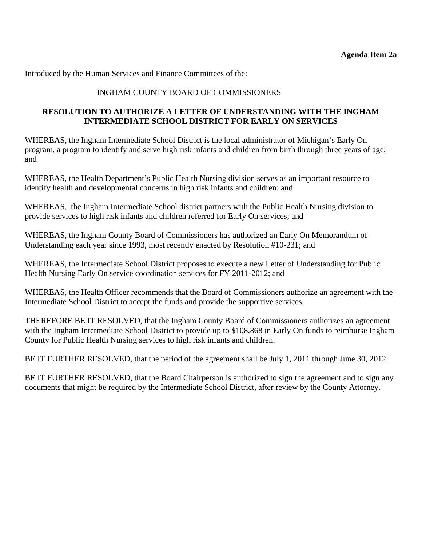## INGHAM COUNTY BOARD OF COMMISSIONERS

## **RESOLUTION TO AUTHORIZE A LETTER OF UNDERSTANDING WITH THE INGHAM INTERMEDIATE SCHOOL DISTRICT FOR EARLY ON SERVICES**

WHEREAS, the Ingham Intermediate School District is the local administrator of Michigan's Early On program, a program to identify and serve high risk infants and children from birth through three years of age; and

WHEREAS, the Health Department's Public Health Nursing division serves as an important resource to identify health and developmental concerns in high risk infants and children; and

WHEREAS, the Ingham Intermediate School district partners with the Public Health Nursing division to provide services to high risk infants and children referred for Early On services; and

WHEREAS, the Ingham County Board of Commissioners has authorized an Early On Memorandum of Understanding each year since 1993, most recently enacted by Resolution #10-231; and

WHEREAS, the Intermediate School District proposes to execute a new Letter of Understanding for Public Health Nursing Early On service coordination services for FY 2011-2012; and

WHEREAS, the Health Officer recommends that the Board of Commissioners authorize an agreement with the Intermediate School District to accept the funds and provide the supportive services.

THEREFORE BE IT RESOLVED, that the Ingham County Board of Commissioners authorizes an agreement with the Ingham Intermediate School District to provide up to \$108,868 in Early On funds to reimburse Ingham County for Public Health Nursing services to high risk infants and children.

BE IT FURTHER RESOLVED, that the period of the agreement shall be July 1, 2011 through June 30, 2012.

BE IT FURTHER RESOLVED, that the Board Chairperson is authorized to sign the agreement and to sign any documents that might be required by the Intermediate School District, after review by the County Attorney.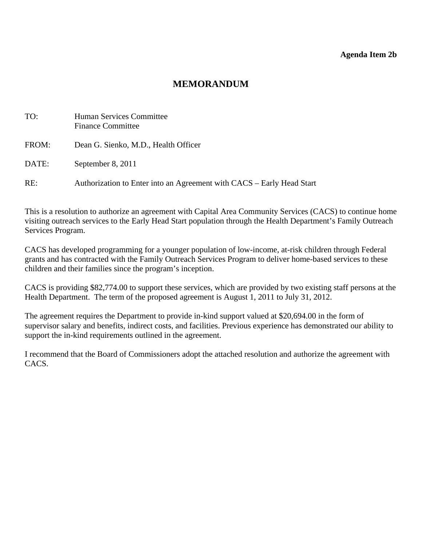#### **Agenda Item 2b**

## **MEMORANDUM**

<span id="page-9-0"></span>

| TO:   | Human Services Committee<br><b>Finance Committee</b>                  |
|-------|-----------------------------------------------------------------------|
| FROM: | Dean G. Sienko, M.D., Health Officer                                  |
| DATE: | September 8, 2011                                                     |
| RE:   | Authorization to Enter into an Agreement with CACS – Early Head Start |

This is a resolution to authorize an agreement with Capital Area Community Services (CACS) to continue home visiting outreach services to the Early Head Start population through the Health Department's Family Outreach Services Program.

CACS has developed programming for a younger population of low-income, at-risk children through Federal grants and has contracted with the Family Outreach Services Program to deliver home-based services to these children and their families since the program's inception.

CACS is providing \$82,774.00 to support these services, which are provided by two existing staff persons at the Health Department. The term of the proposed agreement is August 1, 2011 to July 31, 2012.

The agreement requires the Department to provide in-kind support valued at \$20,694.00 in the form of supervisor salary and benefits, indirect costs, and facilities. Previous experience has demonstrated our ability to support the in-kind requirements outlined in the agreement.

I recommend that the Board of Commissioners adopt the attached resolution and authorize the agreement with CACS.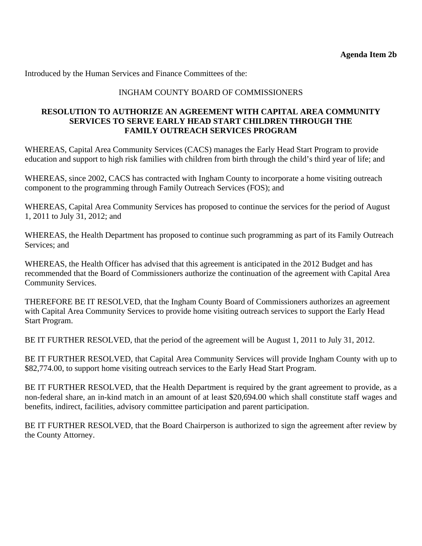## INGHAM COUNTY BOARD OF COMMISSIONERS

#### **RESOLUTION TO AUTHORIZE AN AGREEMENT WITH CAPITAL AREA COMMUNITY SERVICES TO SERVE EARLY HEAD START CHILDREN THROUGH THE FAMILY OUTREACH SERVICES PROGRAM**

WHEREAS, Capital Area Community Services (CACS) manages the Early Head Start Program to provide education and support to high risk families with children from birth through the child's third year of life; and

WHEREAS, since 2002, CACS has contracted with Ingham County to incorporate a home visiting outreach component to the programming through Family Outreach Services (FOS); and

WHEREAS, Capital Area Community Services has proposed to continue the services for the period of August 1, 2011 to July 31, 2012; and

WHEREAS, the Health Department has proposed to continue such programming as part of its Family Outreach Services; and

WHEREAS, the Health Officer has advised that this agreement is anticipated in the 2012 Budget and has recommended that the Board of Commissioners authorize the continuation of the agreement with Capital Area Community Services.

THEREFORE BE IT RESOLVED, that the Ingham County Board of Commissioners authorizes an agreement with Capital Area Community Services to provide home visiting outreach services to support the Early Head Start Program.

BE IT FURTHER RESOLVED, that the period of the agreement will be August 1, 2011 to July 31, 2012.

BE IT FURTHER RESOLVED, that Capital Area Community Services will provide Ingham County with up to \$82,774.00, to support home visiting outreach services to the Early Head Start Program.

BE IT FURTHER RESOLVED, that the Health Department is required by the grant agreement to provide, as a non-federal share, an in-kind match in an amount of at least \$20,694.00 which shall constitute staff wages and benefits, indirect, facilities, advisory committee participation and parent participation.

BE IT FURTHER RESOLVED, that the Board Chairperson is authorized to sign the agreement after review by the County Attorney.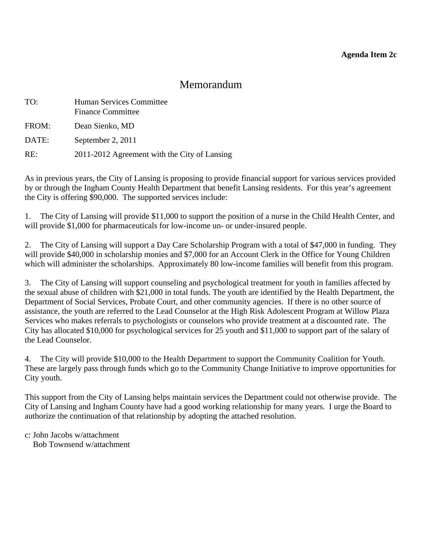## Memorandum

<span id="page-11-0"></span>

| TO:   | <b>Human Services Committee</b><br><b>Finance Committee</b> |
|-------|-------------------------------------------------------------|
| FROM: | Dean Sienko, MD                                             |
| DATE: | September 2, 2011                                           |
| RE:   | 2011-2012 Agreement with the City of Lansing                |

As in previous years, the City of Lansing is proposing to provide financial support for various services provided by or through the Ingham County Health Department that benefit Lansing residents. For this year's agreement the City is offering \$90,000. The supported services include:

1. The City of Lansing will provide \$11,000 to support the position of a nurse in the Child Health Center, and will provide \$1,000 for pharmaceuticals for low-income un- or under-insured people.

2. The City of Lansing will support a Day Care Scholarship Program with a total of \$47,000 in funding. They will provide \$40,000 in scholarship monies and \$7,000 for an Account Clerk in the Office for Young Children which will administer the scholarships. Approximately 80 low-income families will benefit from this program.

3. The City of Lansing will support counseling and psychological treatment for youth in families affected by the sexual abuse of children with \$21,000 in total funds. The youth are identified by the Health Department, the Department of Social Services, Probate Court, and other community agencies. If there is no other source of assistance, the youth are referred to the Lead Counselor at the High Risk Adolescent Program at Willow Plaza Services who makes referrals to psychologists or counselors who provide treatment at a discounted rate. The City has allocated \$10,000 for psychological services for 25 youth and \$11,000 to support part of the salary of the Lead Counselor.

4. The City will provide \$10,000 to the Health Department to support the Community Coalition for Youth. These are largely pass through funds which go to the Community Change Initiative to improve opportunities for City youth.

This support from the City of Lansing helps maintain services the Department could not otherwise provide. The City of Lansing and Ingham County have had a good working relationship for many years. I urge the Board to authorize the continuation of that relationship by adopting the attached resolution.

c: John Jacobs w/attachment

Bob Townsend w/attachment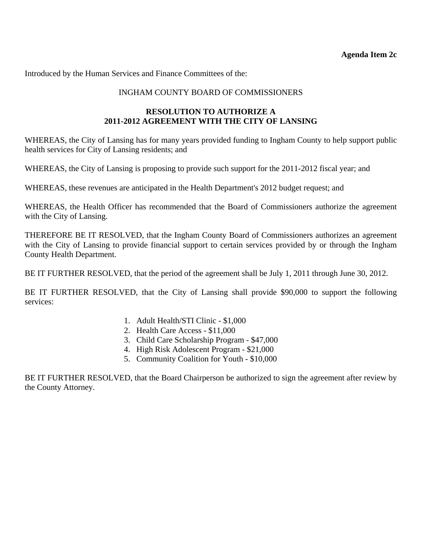## INGHAM COUNTY BOARD OF COMMISSIONERS

## **RESOLUTION TO AUTHORIZE A 2011-2012 AGREEMENT WITH THE CITY OF LANSING**

WHEREAS, the City of Lansing has for many years provided funding to Ingham County to help support public health services for City of Lansing residents; and

WHEREAS, the City of Lansing is proposing to provide such support for the 2011-2012 fiscal year; and

WHEREAS, these revenues are anticipated in the Health Department's 2012 budget request; and

WHEREAS, the Health Officer has recommended that the Board of Commissioners authorize the agreement with the City of Lansing.

THEREFORE BE IT RESOLVED, that the Ingham County Board of Commissioners authorizes an agreement with the City of Lansing to provide financial support to certain services provided by or through the Ingham County Health Department.

BE IT FURTHER RESOLVED, that the period of the agreement shall be July 1, 2011 through June 30, 2012.

BE IT FURTHER RESOLVED, that the City of Lansing shall provide \$90,000 to support the following services:

- 1. Adult Health/STI Clinic \$1,000
- 2. Health Care Access \$11,000
- 3. Child Care Scholarship Program \$47,000
- 4. High Risk Adolescent Program \$21,000
- 5. Community Coalition for Youth \$10,000

BE IT FURTHER RESOLVED, that the Board Chairperson be authorized to sign the agreement after review by the County Attorney.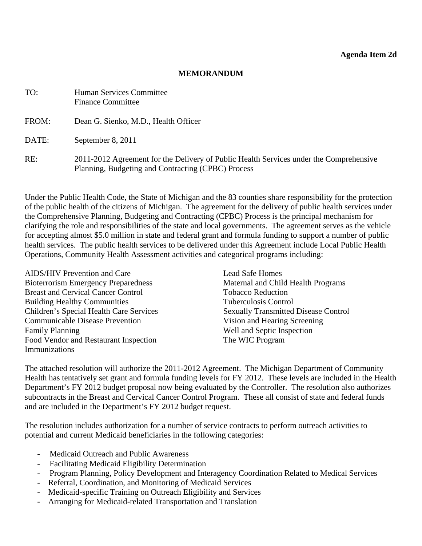#### **MEMORANDUM**

<span id="page-13-0"></span>

| TO:   | <b>Human Services Committee</b><br><b>Finance Committee</b>                                                                                  |
|-------|----------------------------------------------------------------------------------------------------------------------------------------------|
| FROM: | Dean G. Sienko, M.D., Health Officer                                                                                                         |
| DATE: | September 8, 2011                                                                                                                            |
| RE:   | 2011-2012 Agreement for the Delivery of Public Health Services under the Comprehensive<br>Planning, Budgeting and Contracting (CPBC) Process |

Under the Public Health Code, the State of Michigan and the 83 counties share responsibility for the protection of the public health of the citizens of Michigan. The agreement for the delivery of public health services under the Comprehensive Planning, Budgeting and Contracting (CPBC) Process is the principal mechanism for clarifying the role and responsibilities of the state and local governments. The agreement serves as the vehicle for accepting almost \$5.0 million in state and federal grant and formula funding to support a number of public health services. The public health services to be delivered under this Agreement include Local Public Health Operations, Community Health Assessment activities and categorical programs including:

| <b>AIDS/HIV Prevention and Care</b>        | <b>Lead Safe Homes</b>                      |
|--------------------------------------------|---------------------------------------------|
| <b>Bioterrorism Emergency Preparedness</b> | Maternal and Child Health Programs          |
| <b>Breast and Cervical Cancer Control</b>  | <b>Tobacco Reduction</b>                    |
| <b>Building Healthy Communities</b>        | <b>Tuberculosis Control</b>                 |
| Children's Special Health Care Services    | <b>Sexually Transmitted Disease Control</b> |
| <b>Communicable Disease Prevention</b>     | Vision and Hearing Screening                |
| <b>Family Planning</b>                     | Well and Septic Inspection                  |
| Food Vendor and Restaurant Inspection      | The WIC Program                             |
| Immunizations                              |                                             |

The attached resolution will authorize the 2011-2012 Agreement. The Michigan Department of Community Health has tentatively set grant and formula funding levels for FY 2012. These levels are included in the Health Department's FY 2012 budget proposal now being evaluated by the Controller. The resolution also authorizes subcontracts in the Breast and Cervical Cancer Control Program. These all consist of state and federal funds and are included in the Department's FY 2012 budget request.

The resolution includes authorization for a number of service contracts to perform outreach activities to potential and current Medicaid beneficiaries in the following categories:

- Medicaid Outreach and Public Awareness
- Facilitating Medicaid Eligibility Determination
- Program Planning, Policy Development and Interagency Coordination Related to Medical Services
- Referral, Coordination, and Monitoring of Medicaid Services
- Medicaid-specific Training on Outreach Eligibility and Services
- Arranging for Medicaid-related Transportation and Translation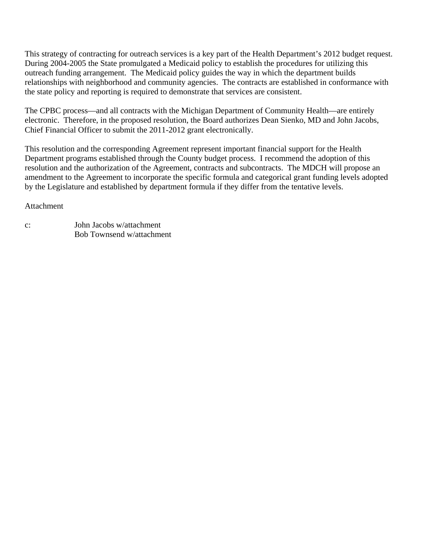This strategy of contracting for outreach services is a key part of the Health Department's 2012 budget request. During 2004-2005 the State promulgated a Medicaid policy to establish the procedures for utilizing this outreach funding arrangement. The Medicaid policy guides the way in which the department builds relationships with neighborhood and community agencies. The contracts are established in conformance with the state policy and reporting is required to demonstrate that services are consistent.

The CPBC process—and all contracts with the Michigan Department of Community Health—are entirely electronic. Therefore, in the proposed resolution, the Board authorizes Dean Sienko, MD and John Jacobs, Chief Financial Officer to submit the 2011-2012 grant electronically.

This resolution and the corresponding Agreement represent important financial support for the Health Department programs established through the County budget process. I recommend the adoption of this resolution and the authorization of the Agreement, contracts and subcontracts. The MDCH will propose an amendment to the Agreement to incorporate the specific formula and categorical grant funding levels adopted by the Legislature and established by department formula if they differ from the tentative levels.

#### Attachment

| $\mathbf{C}$ : | John Jacobs w/attachment  |
|----------------|---------------------------|
|                | Bob Townsend w/attachment |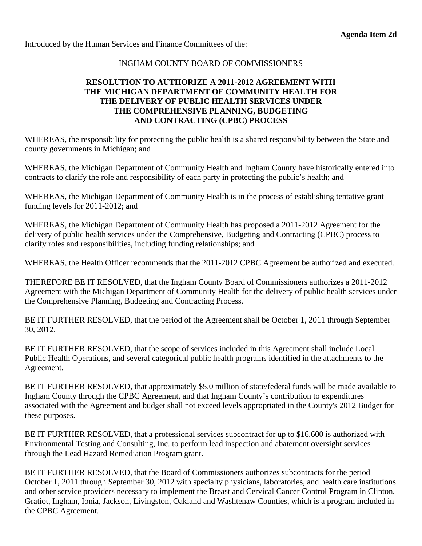#### INGHAM COUNTY BOARD OF COMMISSIONERS

## **RESOLUTION TO AUTHORIZE A 2011-2012 AGREEMENT WITH THE MICHIGAN DEPARTMENT OF COMMUNITY HEALTH FOR THE DELIVERY OF PUBLIC HEALTH SERVICES UNDER THE COMPREHENSIVE PLANNING, BUDGETING AND CONTRACTING (CPBC) PROCESS**

WHEREAS, the responsibility for protecting the public health is a shared responsibility between the State and county governments in Michigan; and

WHEREAS, the Michigan Department of Community Health and Ingham County have historically entered into contracts to clarify the role and responsibility of each party in protecting the public's health; and

WHEREAS, the Michigan Department of Community Health is in the process of establishing tentative grant funding levels for 2011-2012; and

WHEREAS, the Michigan Department of Community Health has proposed a 2011-2012 Agreement for the delivery of public health services under the Comprehensive, Budgeting and Contracting (CPBC) process to clarify roles and responsibilities, including funding relationships; and

WHEREAS, the Health Officer recommends that the 2011-2012 CPBC Agreement be authorized and executed.

THEREFORE BE IT RESOLVED, that the Ingham County Board of Commissioners authorizes a 2011-2012 Agreement with the Michigan Department of Community Health for the delivery of public health services under the Comprehensive Planning, Budgeting and Contracting Process.

BE IT FURTHER RESOLVED, that the period of the Agreement shall be October 1, 2011 through September 30, 2012.

BE IT FURTHER RESOLVED, that the scope of services included in this Agreement shall include Local Public Health Operations, and several categorical public health programs identified in the attachments to the Agreement.

BE IT FURTHER RESOLVED, that approximately \$5.0 million of state/federal funds will be made available to Ingham County through the CPBC Agreement, and that Ingham County's contribution to expenditures associated with the Agreement and budget shall not exceed levels appropriated in the County's 2012 Budget for these purposes.

BE IT FURTHER RESOLVED, that a professional services subcontract for up to \$16,600 is authorized with Environmental Testing and Consulting, Inc. to perform lead inspection and abatement oversight services through the Lead Hazard Remediation Program grant.

BE IT FURTHER RESOLVED, that the Board of Commissioners authorizes subcontracts for the period October 1, 2011 through September 30, 2012 with specialty physicians, laboratories, and health care institutions and other service providers necessary to implement the Breast and Cervical Cancer Control Program in Clinton, Gratiot, Ingham, Ionia, Jackson, Livingston, Oakland and Washtenaw Counties, which is a program included in the CPBC Agreement.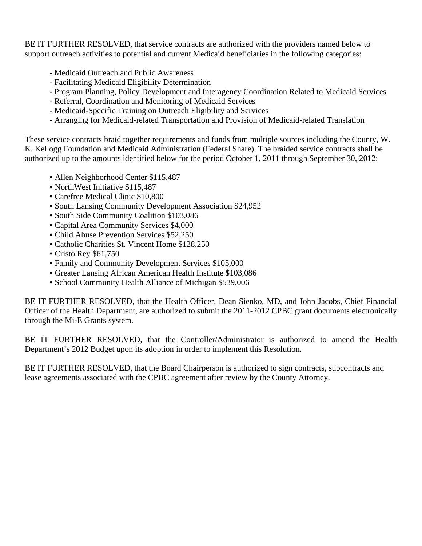BE IT FURTHER RESOLVED, that service contracts are authorized with the providers named below to support outreach activities to potential and current Medicaid beneficiaries in the following categories:

- Medicaid Outreach and Public Awareness
- Facilitating Medicaid Eligibility Determination
- Program Planning, Policy Development and Interagency Coordination Related to Medicaid Services
- Referral, Coordination and Monitoring of Medicaid Services
- Medicaid-Specific Training on Outreach Eligibility and Services
- Arranging for Medicaid-related Transportation and Provision of Medicaid-related Translation

These service contracts braid together requirements and funds from multiple sources including the County, W. K. Kellogg Foundation and Medicaid Administration (Federal Share). The braided service contracts shall be authorized up to the amounts identified below for the period October 1, 2011 through September 30, 2012:

- Allen Neighborhood Center \$115,487
- NorthWest Initiative \$115,487
- Carefree Medical Clinic \$10,800
- South Lansing Community Development Association \$24,952
- South Side Community Coalition \$103,086
- Capital Area Community Services \$4,000
- Child Abuse Prevention Services \$52,250
- Catholic Charities St. Vincent Home \$128,250
- Cristo Rey \$61,750
- Family and Community Development Services \$105,000
- Greater Lansing African American Health Institute \$103,086
- School Community Health Alliance of Michigan \$539,006

BE IT FURTHER RESOLVED, that the Health Officer, Dean Sienko, MD, and John Jacobs, Chief Financial Officer of the Health Department, are authorized to submit the 2011-2012 CPBC grant documents electronically through the Mi-E Grants system.

BE IT FURTHER RESOLVED, that the Controller/Administrator is authorized to amend the Health Department's 2012 Budget upon its adoption in order to implement this Resolution.

BE IT FURTHER RESOLVED, that the Board Chairperson is authorized to sign contracts, subcontracts and lease agreements associated with the CPBC agreement after review by the County Attorney.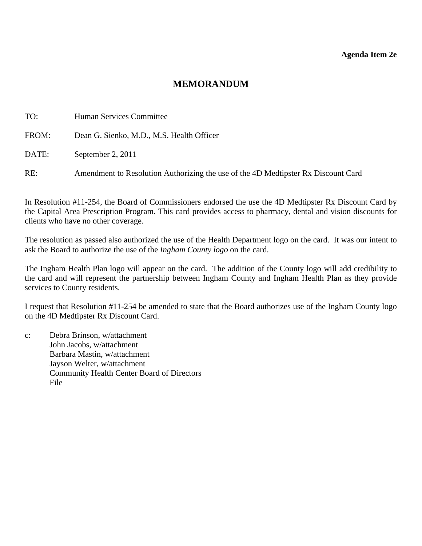#### **Agenda Item 2e**

## **MEMORANDUM**

<span id="page-17-0"></span>

| TO:   | Human Services Committee                                                          |
|-------|-----------------------------------------------------------------------------------|
| FROM: | Dean G. Sienko, M.D., M.S. Health Officer                                         |
| DATE: | September 2, 2011                                                                 |
| RE:   | Amendment to Resolution Authorizing the use of the 4D Medtipster Rx Discount Card |

In Resolution #11-254, the Board of Commissioners endorsed the use the 4D Medtipster Rx Discount Card by the Capital Area Prescription Program. This card provides access to pharmacy, dental and vision discounts for clients who have no other coverage.

The resolution as passed also authorized the use of the Health Department logo on the card. It was our intent to ask the Board to authorize the use of the *Ingham County logo* on the card.

The Ingham Health Plan logo will appear on the card. The addition of the County logo will add credibility to the card and will represent the partnership between Ingham County and Ingham Health Plan as they provide services to County residents.

I request that Resolution #11-254 be amended to state that the Board authorizes use of the Ingham County logo on the 4D Medtipster Rx Discount Card.

c: Debra Brinson, w/attachment John Jacobs, w/attachment Barbara Mastin, w/attachment Jayson Welter, w/attachment Community Health Center Board of Directors File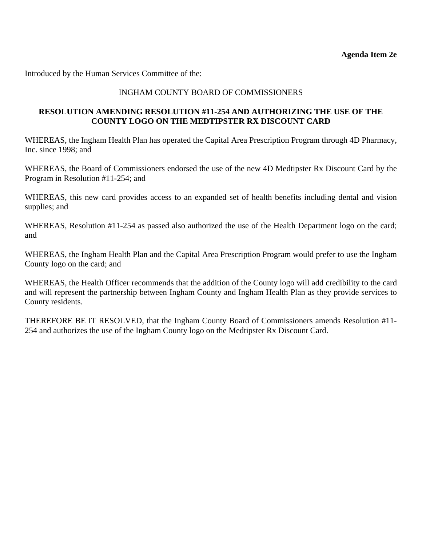Introduced by the Human Services Committee of the:

## INGHAM COUNTY BOARD OF COMMISSIONERS

#### **RESOLUTION AMENDING RESOLUTION #11-254 AND AUTHORIZING THE USE OF THE COUNTY LOGO ON THE MEDTIPSTER RX DISCOUNT CARD**

WHEREAS, the Ingham Health Plan has operated the Capital Area Prescription Program through 4D Pharmacy, Inc. since 1998; and

WHEREAS, the Board of Commissioners endorsed the use of the new 4D Medtipster Rx Discount Card by the Program in Resolution #11-254; and

WHEREAS, this new card provides access to an expanded set of health benefits including dental and vision supplies; and

WHEREAS, Resolution #11-254 as passed also authorized the use of the Health Department logo on the card; and

WHEREAS, the Ingham Health Plan and the Capital Area Prescription Program would prefer to use the Ingham County logo on the card; and

WHEREAS, the Health Officer recommends that the addition of the County logo will add credibility to the card and will represent the partnership between Ingham County and Ingham Health Plan as they provide services to County residents.

THEREFORE BE IT RESOLVED, that the Ingham County Board of Commissioners amends Resolution #11- 254 and authorizes the use of the Ingham County logo on the Medtipster Rx Discount Card.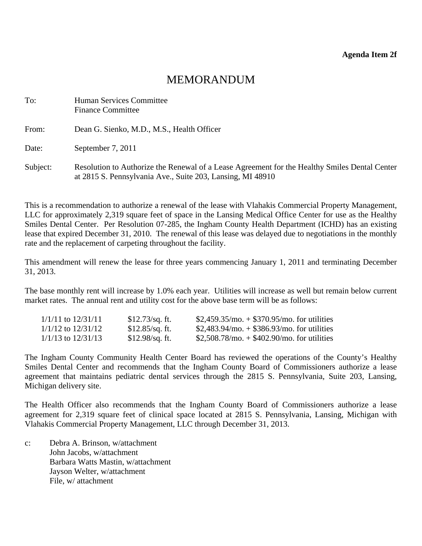# MEMORANDUM

<span id="page-19-0"></span>

| To:      | Human Services Committee<br><b>Finance Committee</b>                                                                                                        |
|----------|-------------------------------------------------------------------------------------------------------------------------------------------------------------|
| From:    | Dean G. Sienko, M.D., M.S., Health Officer                                                                                                                  |
| Date:    | September 7, 2011                                                                                                                                           |
| Subject: | Resolution to Authorize the Renewal of a Lease Agreement for the Healthy Smiles Dental Center<br>at 2815 S. Pennsylvania Ave., Suite 203, Lansing, MI 48910 |

This is a recommendation to authorize a renewal of the lease with Vlahakis Commercial Property Management, LLC for approximately 2,319 square feet of space in the Lansing Medical Office Center for use as the Healthy Smiles Dental Center. Per Resolution 07-285, the Ingham County Health Department (ICHD) has an existing lease that expired December 31, 2010. The renewal of this lease was delayed due to negotiations in the monthly rate and the replacement of carpeting throughout the facility.

This amendment will renew the lease for three years commencing January 1, 2011 and terminating December 31, 2013.

The base monthly rent will increase by 1.0% each year. Utilities will increase as well but remain below current market rates. The annual rent and utility cost for the above base term will be as follows:

| 1/1/11 to 12/31/11     | $$12.73$ /sq. ft. | $$2,459.35/mol + $370.95/mol$ for utilities     |
|------------------------|-------------------|-------------------------------------------------|
| 1/1/12 to 12/31/12     | $$12.85$ /sq. ft. | $$2,483.94/mol + $386.93/mol$ for utilities     |
| $1/1/13$ to $12/31/13$ | $$12.98$ /sq. ft. | $$2,508.78$ /mo. $+ $402.90$ /mo. for utilities |

The Ingham County Community Health Center Board has reviewed the operations of the County's Healthy Smiles Dental Center and recommends that the Ingham County Board of Commissioners authorize a lease agreement that maintains pediatric dental services through the 2815 S. Pennsylvania, Suite 203, Lansing, Michigan delivery site.

The Health Officer also recommends that the Ingham County Board of Commissioners authorize a lease agreement for 2,319 square feet of clinical space located at 2815 S. Pennsylvania, Lansing, Michigan with Vlahakis Commercial Property Management, LLC through December 31, 2013.

c: Debra A. Brinson, w/attachment John Jacobs, w/attachment Barbara Watts Mastin, w/attachment Jayson Welter, w/attachment File, w/ attachment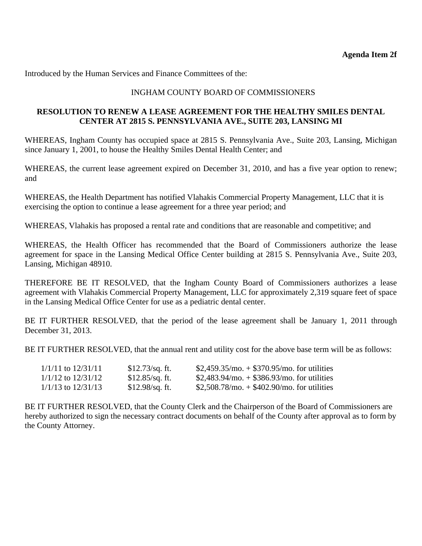## INGHAM COUNTY BOARD OF COMMISSIONERS

#### **RESOLUTION TO RENEW A LEASE AGREEMENT FOR THE HEALTHY SMILES DENTAL CENTER AT 2815 S. PENNSYLVANIA AVE., SUITE 203, LANSING MI**

WHEREAS, Ingham County has occupied space at 2815 S. Pennsylvania Ave., Suite 203, Lansing, Michigan since January 1, 2001, to house the Healthy Smiles Dental Health Center; and

WHEREAS, the current lease agreement expired on December 31, 2010, and has a five year option to renew; and

WHEREAS, the Health Department has notified Vlahakis Commercial Property Management, LLC that it is exercising the option to continue a lease agreement for a three year period; and

WHEREAS, Vlahakis has proposed a rental rate and conditions that are reasonable and competitive; and

WHEREAS, the Health Officer has recommended that the Board of Commissioners authorize the lease agreement for space in the Lansing Medical Office Center building at 2815 S. Pennsylvania Ave., Suite 203, Lansing, Michigan 48910.

THEREFORE BE IT RESOLVED, that the Ingham County Board of Commissioners authorizes a lease agreement with Vlahakis Commercial Property Management, LLC for approximately 2,319 square feet of space in the Lansing Medical Office Center for use as a pediatric dental center.

BE IT FURTHER RESOLVED, that the period of the lease agreement shall be January 1, 2011 through December 31, 2013.

BE IT FURTHER RESOLVED, that the annual rent and utility cost for the above base term will be as follows:

| 1/1/11 to 12/31/11     | $$12.73$ /sq. ft. | $$2,459.35/mol + $370.95/mol$ for utilities     |
|------------------------|-------------------|-------------------------------------------------|
| 1/1/12 to 12/31/12     | $$12.85$ /sq. ft. | \$2,483.94/mo. $+$ \$386.93/mo. for utilities   |
| $1/1/13$ to $12/31/13$ | $$12.98$ /sq. ft. | $$2,508.78$ /mo. $+ $402.90$ /mo. for utilities |

BE IT FURTHER RESOLVED, that the County Clerk and the Chairperson of the Board of Commissioners are hereby authorized to sign the necessary contract documents on behalf of the County after approval as to form by the County Attorney.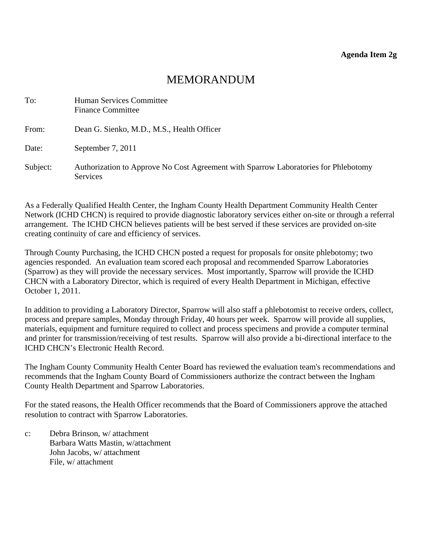# MEMORANDUM

<span id="page-21-0"></span>

| To:      | Human Services Committee<br><b>Finance Committee</b>                                                   |
|----------|--------------------------------------------------------------------------------------------------------|
| From:    | Dean G. Sienko, M.D., M.S., Health Officer                                                             |
| Date:    | September 7, 2011                                                                                      |
| Subject: | Authorization to Approve No Cost Agreement with Sparrow Laboratories for Phlebotomy<br><b>Services</b> |

As a Federally Qualified Health Center, the Ingham County Health Department Community Health Center Network (ICHD CHCN) is required to provide diagnostic laboratory services either on-site or through a referral arrangement. The ICHD CHCN believes patients will be best served if these services are provided on-site creating continuity of care and efficiency of services.

Through County Purchasing, the ICHD CHCN posted a request for proposals for onsite phlebotomy; two agencies responded. An evaluation team scored each proposal and recommended Sparrow Laboratories (Sparrow) as they will provide the necessary services. Most importantly, Sparrow will provide the ICHD CHCN with a Laboratory Director, which is required of every Health Department in Michigan, effective October 1, 2011.

In addition to providing a Laboratory Director, Sparrow will also staff a phlebotomist to receive orders, collect, process and prepare samples, Monday through Friday, 40 hours per week. Sparrow will provide all supplies, materials, equipment and furniture required to collect and process specimens and provide a computer terminal and printer for transmission/receiving of test results. Sparrow will also provide a bi-directional interface to the ICHD CHCN's Electronic Health Record.

The Ingham County Community Health Center Board has reviewed the evaluation team's recommendations and recommends that the Ingham County Board of Commissioners authorize the contract between the Ingham County Health Department and Sparrow Laboratories.

For the stated reasons, the Health Officer recommends that the Board of Commissioners approve the attached resolution to contract with Sparrow Laboratories.

c: Debra Brinson, w/ attachment Barbara Watts Mastin, w/attachment John Jacobs, w/ attachment File, w/ attachment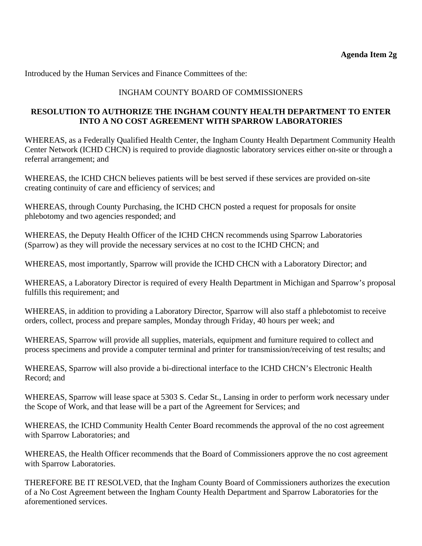## INGHAM COUNTY BOARD OF COMMISSIONERS

## **RESOLUTION TO AUTHORIZE THE INGHAM COUNTY HEALTH DEPARTMENT TO ENTER INTO A NO COST AGREEMENT WITH SPARROW LABORATORIES**

WHEREAS, as a Federally Qualified Health Center, the Ingham County Health Department Community Health Center Network (ICHD CHCN) is required to provide diagnostic laboratory services either on-site or through a referral arrangement; and

WHEREAS, the ICHD CHCN believes patients will be best served if these services are provided on-site creating continuity of care and efficiency of services; and

WHEREAS, through County Purchasing, the ICHD CHCN posted a request for proposals for onsite phlebotomy and two agencies responded; and

WHEREAS, the Deputy Health Officer of the ICHD CHCN recommends using Sparrow Laboratories (Sparrow) as they will provide the necessary services at no cost to the ICHD CHCN; and

WHEREAS, most importantly, Sparrow will provide the ICHD CHCN with a Laboratory Director; and

WHEREAS, a Laboratory Director is required of every Health Department in Michigan and Sparrow's proposal fulfills this requirement; and

WHEREAS, in addition to providing a Laboratory Director, Sparrow will also staff a phlebotomist to receive orders, collect, process and prepare samples, Monday through Friday, 40 hours per week; and

WHEREAS, Sparrow will provide all supplies, materials, equipment and furniture required to collect and process specimens and provide a computer terminal and printer for transmission/receiving of test results; and

WHEREAS, Sparrow will also provide a bi-directional interface to the ICHD CHCN's Electronic Health Record; and

WHEREAS, Sparrow will lease space at 5303 S. Cedar St., Lansing in order to perform work necessary under the Scope of Work, and that lease will be a part of the Agreement for Services; and

WHEREAS, the ICHD Community Health Center Board recommends the approval of the no cost agreement with Sparrow Laboratories; and

WHEREAS, the Health Officer recommends that the Board of Commissioners approve the no cost agreement with Sparrow Laboratories.

THEREFORE BE IT RESOLVED, that the Ingham County Board of Commissioners authorizes the execution of a No Cost Agreement between the Ingham County Health Department and Sparrow Laboratories for the aforementioned services.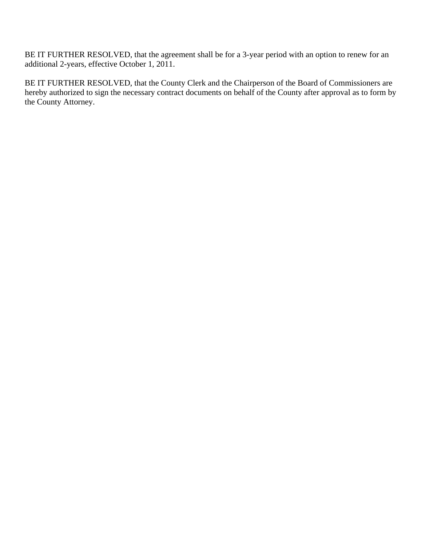BE IT FURTHER RESOLVED, that the agreement shall be for a 3-year period with an option to renew for an additional 2-years, effective October 1, 2011.

BE IT FURTHER RESOLVED, that the County Clerk and the Chairperson of the Board of Commissioners are hereby authorized to sign the necessary contract documents on behalf of the County after approval as to form by the County Attorney.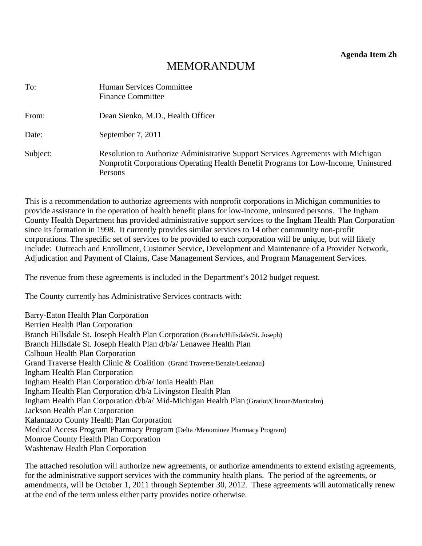**Agenda Item 2h** 

# MEMORANDUM

<span id="page-24-0"></span>

| To:      | Human Services Committee<br><b>Finance Committee</b>                                                                                                                              |
|----------|-----------------------------------------------------------------------------------------------------------------------------------------------------------------------------------|
| From:    | Dean Sienko, M.D., Health Officer                                                                                                                                                 |
| Date:    | September 7, 2011                                                                                                                                                                 |
| Subject: | Resolution to Authorize Administrative Support Services Agreements with Michigan<br>Nonprofit Corporations Operating Health Benefit Programs for Low-Income, Uninsured<br>Persons |

This is a recommendation to authorize agreements with nonprofit corporations in Michigan communities to provide assistance in the operation of health benefit plans for low-income, uninsured persons. The Ingham County Health Department has provided administrative support services to the Ingham Health Plan Corporation since its formation in 1998. It currently provides similar services to 14 other community non-profit corporations. The specific set of services to be provided to each corporation will be unique, but will likely include: Outreach and Enrollment, Customer Service, Development and Maintenance of a Provider Network, Adjudication and Payment of Claims, Case Management Services, and Program Management Services.

The revenue from these agreements is included in the Department's 2012 budget request.

The County currently has Administrative Services contracts with:

Barry-Eaton Health Plan Corporation Berrien Health Plan Corporation Branch Hillsdale St. Joseph Health Plan Corporation (Branch/Hillsdale/St. Joseph) Branch Hillsdale St. Joseph Health Plan d/b/a/ Lenawee Health Plan Calhoun Health Plan Corporation Grand Traverse Health Clinic & Coalition (Grand Traverse/Benzie/Leelanau) Ingham Health Plan Corporation Ingham Health Plan Corporation d/b/a/ Ionia Health Plan Ingham Health Plan Corporation d/b/a Livingston Health Plan Ingham Health Plan Corporation d/b/a/ Mid-Michigan Health Plan (Gratiot/Clinton/Montcalm) Jackson Health Plan Corporation Kalamazoo County Health Plan Corporation Medical Access Program Pharmacy Program (Delta /Menominee Pharmacy Program) Monroe County Health Plan Corporation Washtenaw Health Plan Corporation

The attached resolution will authorize new agreements, or authorize amendments to extend existing agreements, for the administrative support services with the community health plans. The period of the agreements, or amendments, will be October 1, 2011 through September 30, 2012. These agreements will automatically renew at the end of the term unless either party provides notice otherwise.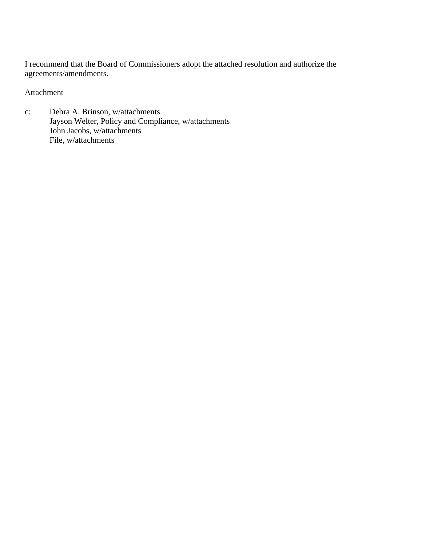I recommend that the Board of Commissioners adopt the attached resolution and authorize the agreements/amendments.

Attachment

c: Debra A. Brinson, w/attachments Jayson Welter, Policy and Compliance, w/attachments John Jacobs, w/attachments File, w/attachments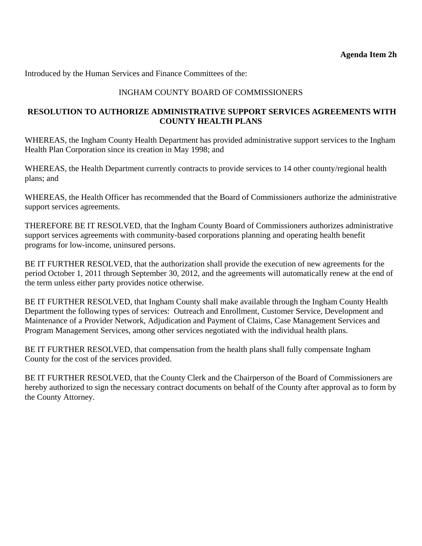## INGHAM COUNTY BOARD OF COMMISSIONERS

## **RESOLUTION TO AUTHORIZE ADMINISTRATIVE SUPPORT SERVICES AGREEMENTS WITH COUNTY HEALTH PLANS**

WHEREAS, the Ingham County Health Department has provided administrative support services to the Ingham Health Plan Corporation since its creation in May 1998; and

WHEREAS, the Health Department currently contracts to provide services to 14 other county/regional health plans; and

WHEREAS, the Health Officer has recommended that the Board of Commissioners authorize the administrative support services agreements.

THEREFORE BE IT RESOLVED, that the Ingham County Board of Commissioners authorizes administrative support services agreements with community-based corporations planning and operating health benefit programs for low-income, uninsured persons.

BE IT FURTHER RESOLVED, that the authorization shall provide the execution of new agreements for the period October 1, 2011 through September 30, 2012, and the agreements will automatically renew at the end of the term unless either party provides notice otherwise.

BE IT FURTHER RESOLVED, that Ingham County shall make available through the Ingham County Health Department the following types of services: Outreach and Enrollment, Customer Service, Development and Maintenance of a Provider Network, Adjudication and Payment of Claims, Case Management Services and Program Management Services, among other services negotiated with the individual health plans.

BE IT FURTHER RESOLVED, that compensation from the health plans shall fully compensate Ingham County for the cost of the services provided.

BE IT FURTHER RESOLVED, that the County Clerk and the Chairperson of the Board of Commissioners are hereby authorized to sign the necessary contract documents on behalf of the County after approval as to form by the County Attorney.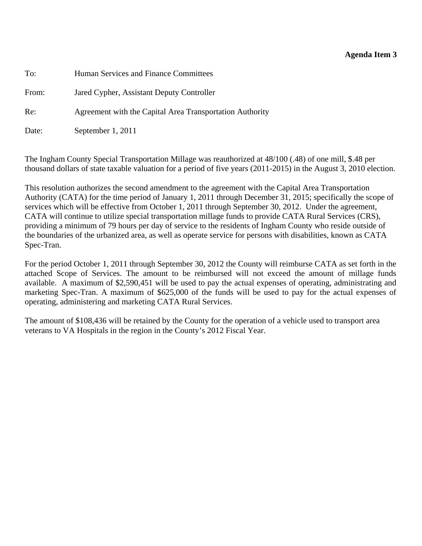## **Agenda Item 3**

<span id="page-27-0"></span>To: Human Services and Finance Committees

From: Jared Cypher, Assistant Deputy Controller

Re: Agreement with the Capital Area Transportation Authority

Date: September 1, 2011

The Ingham County Special Transportation Millage was reauthorized at 48/100 (.48) of one mill, \$.48 per thousand dollars of state taxable valuation for a period of five years (2011-2015) in the August 3, 2010 election.

This resolution authorizes the second amendment to the agreement with the Capital Area Transportation Authority (CATA) for the time period of January 1, 2011 through December 31, 2015; specifically the scope of services which will be effective from October 1, 2011 through September 30, 2012. Under the agreement, CATA will continue to utilize special transportation millage funds to provide CATA Rural Services (CRS), providing a minimum of 79 hours per day of service to the residents of Ingham County who reside outside of the boundaries of the urbanized area, as well as operate service for persons with disabilities, known as CATA Spec-Tran.

For the period October 1, 2011 through September 30, 2012 the County will reimburse CATA as set forth in the attached Scope of Services. The amount to be reimbursed will not exceed the amount of millage funds available. A maximum of \$2,590,451 will be used to pay the actual expenses of operating, administrating and marketing Spec-Tran. A maximum of \$625,000 of the funds will be used to pay for the actual expenses of operating, administering and marketing CATA Rural Services.

The amount of \$108,436 will be retained by the County for the operation of a vehicle used to transport area veterans to VA Hospitals in the region in the County's 2012 Fiscal Year.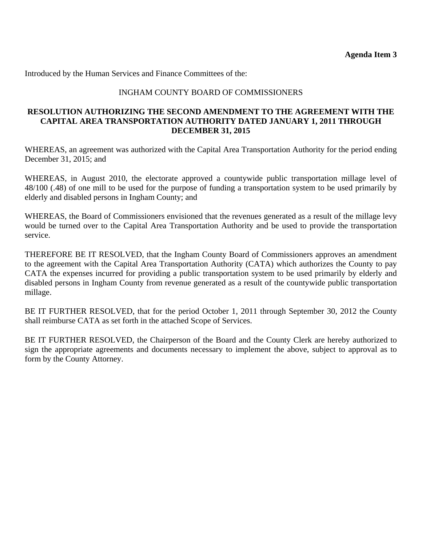## INGHAM COUNTY BOARD OF COMMISSIONERS

#### **RESOLUTION AUTHORIZING THE SECOND AMENDMENT TO THE AGREEMENT WITH THE CAPITAL AREA TRANSPORTATION AUTHORITY DATED JANUARY 1, 2011 THROUGH DECEMBER 31, 2015**

WHEREAS, an agreement was authorized with the Capital Area Transportation Authority for the period ending December 31, 2015; and

WHEREAS, in August 2010, the electorate approved a countywide public transportation millage level of 48/100 (.48) of one mill to be used for the purpose of funding a transportation system to be used primarily by elderly and disabled persons in Ingham County; and

WHEREAS, the Board of Commissioners envisioned that the revenues generated as a result of the millage levy would be turned over to the Capital Area Transportation Authority and be used to provide the transportation service.

THEREFORE BE IT RESOLVED, that the Ingham County Board of Commissioners approves an amendment to the agreement with the Capital Area Transportation Authority (CATA) which authorizes the County to pay CATA the expenses incurred for providing a public transportation system to be used primarily by elderly and disabled persons in Ingham County from revenue generated as a result of the countywide public transportation millage.

BE IT FURTHER RESOLVED, that for the period October 1, 2011 through September 30, 2012 the County shall reimburse CATA as set forth in the attached Scope of Services.

BE IT FURTHER RESOLVED, the Chairperson of the Board and the County Clerk are hereby authorized to sign the appropriate agreements and documents necessary to implement the above, subject to approval as to form by the County Attorney.